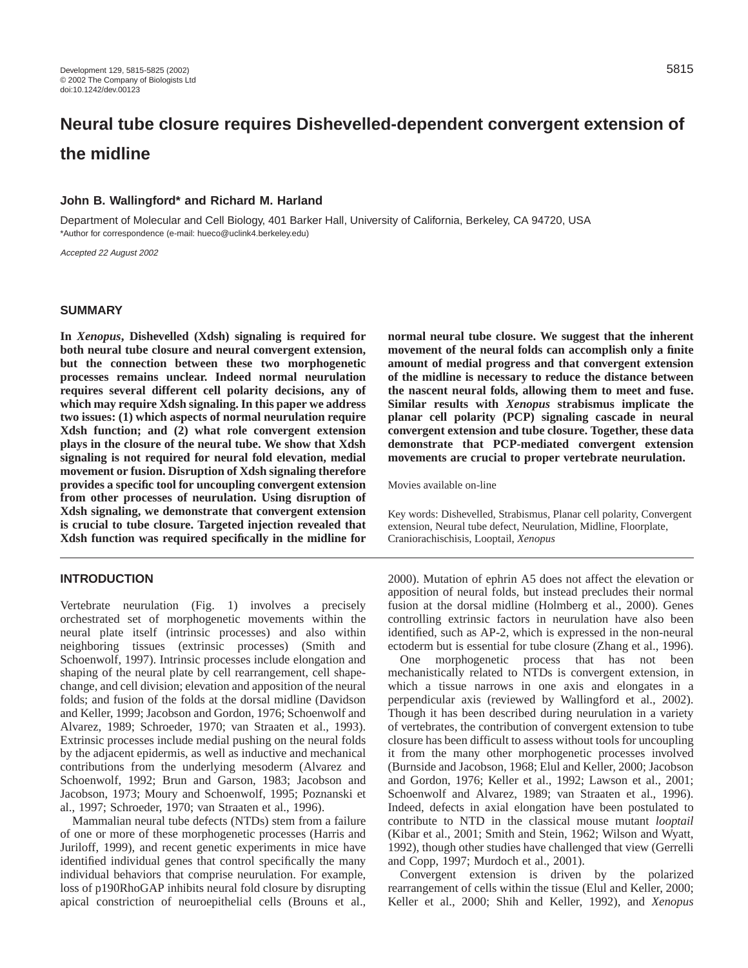# **Neural tube closure requires Dishevelled-dependent convergent extension of the midline**

#### **John B. Wallingford\* and Richard M. Harland**

Department of Molecular and Cell Biology, 401 Barker Hall, University of California, Berkeley, CA 94720, USA \*Author for correspondence (e-mail: hueco@uclink4.berkeley.edu)

Accepted 22 August 2002

## **SUMMARY**

**In** *Xenopus***, Dishevelled (Xdsh) signaling is required for both neural tube closure and neural convergent extension, but the connection between these two morphogenetic processes remains unclear. Indeed normal neurulation requires several different cell polarity decisions, any of which may require Xdsh signaling. In this paper we address two issues: (1) which aspects of normal neurulation require Xdsh function; and (2) what role convergent extension plays in the closure of the neural tube. We show that Xdsh signaling is not required for neural fold elevation, medial movement or fusion. Disruption of Xdsh signaling therefore provides a specific tool for uncoupling convergent extension from other processes of neurulation. Using disruption of Xdsh signaling, we demonstrate that convergent extension is crucial to tube closure. Targeted injection revealed that Xdsh function was required specifically in the midline for**

## **INTRODUCTION**

Vertebrate neurulation (Fig. 1) involves a precisely orchestrated set of morphogenetic movements within the neural plate itself (intrinsic processes) and also within neighboring tissues (extrinsic processes) (Smith and Schoenwolf, 1997). Intrinsic processes include elongation and shaping of the neural plate by cell rearrangement, cell shapechange, and cell division; elevation and apposition of the neural folds; and fusion of the folds at the dorsal midline (Davidson and Keller, 1999; Jacobson and Gordon, 1976; Schoenwolf and Alvarez, 1989; Schroeder, 1970; van Straaten et al., 1993). Extrinsic processes include medial pushing on the neural folds by the adjacent epidermis, as well as inductive and mechanical contributions from the underlying mesoderm (Alvarez and Schoenwolf, 1992; Brun and Garson, 1983; Jacobson and Jacobson, 1973; Moury and Schoenwolf, 1995; Poznanski et al., 1997; Schroeder, 1970; van Straaten et al., 1996).

Mammalian neural tube defects (NTDs) stem from a failure of one or more of these morphogenetic processes (Harris and Juriloff, 1999), and recent genetic experiments in mice have identified individual genes that control specifically the many individual behaviors that comprise neurulation. For example, loss of p190RhoGAP inhibits neural fold closure by disrupting apical constriction of neuroepithelial cells (Brouns et al., **normal neural tube closure. We suggest that the inherent movement of the neural folds can accomplish only a finite amount of medial progress and that convergent extension of the midline is necessary to reduce the distance between the nascent neural folds, allowing them to meet and fuse. Similar results with** *Xenopus* **strabismus implicate the planar cell polarity (PCP) signaling cascade in neural convergent extension and tube closure. Together, these data demonstrate that PCP-mediated convergent extension movements are crucial to proper vertebrate neurulation.**

Movies available on-line

Key words: Dishevelled, Strabismus, Planar cell polarity, Convergent extension, Neural tube defect, Neurulation, Midline, Floorplate, Craniorachischisis, Looptail, *Xenopus*

2000). Mutation of ephrin A5 does not affect the elevation or apposition of neural folds, but instead precludes their normal fusion at the dorsal midline (Holmberg et al., 2000). Genes controlling extrinsic factors in neurulation have also been identified, such as AP-2, which is expressed in the non-neural ectoderm but is essential for tube closure (Zhang et al., 1996).

One morphogenetic process that has not been mechanistically related to NTDs is convergent extension, in which a tissue narrows in one axis and elongates in a perpendicular axis (reviewed by Wallingford et al., 2002). Though it has been described during neurulation in a variety of vertebrates, the contribution of convergent extension to tube closure has been difficult to assess without tools for uncoupling it from the many other morphogenetic processes involved (Burnside and Jacobson, 1968; Elul and Keller, 2000; Jacobson and Gordon, 1976; Keller et al., 1992; Lawson et al., 2001; Schoenwolf and Alvarez, 1989; van Straaten et al., 1996). Indeed, defects in axial elongation have been postulated to contribute to NTD in the classical mouse mutant *looptail* (Kibar et al., 2001; Smith and Stein, 1962; Wilson and Wyatt, 1992), though other studies have challenged that view (Gerrelli and Copp, 1997; Murdoch et al., 2001).

Convergent extension is driven by the polarized rearrangement of cells within the tissue (Elul and Keller, 2000; Keller et al., 2000; Shih and Keller, 1992), and *Xenopus*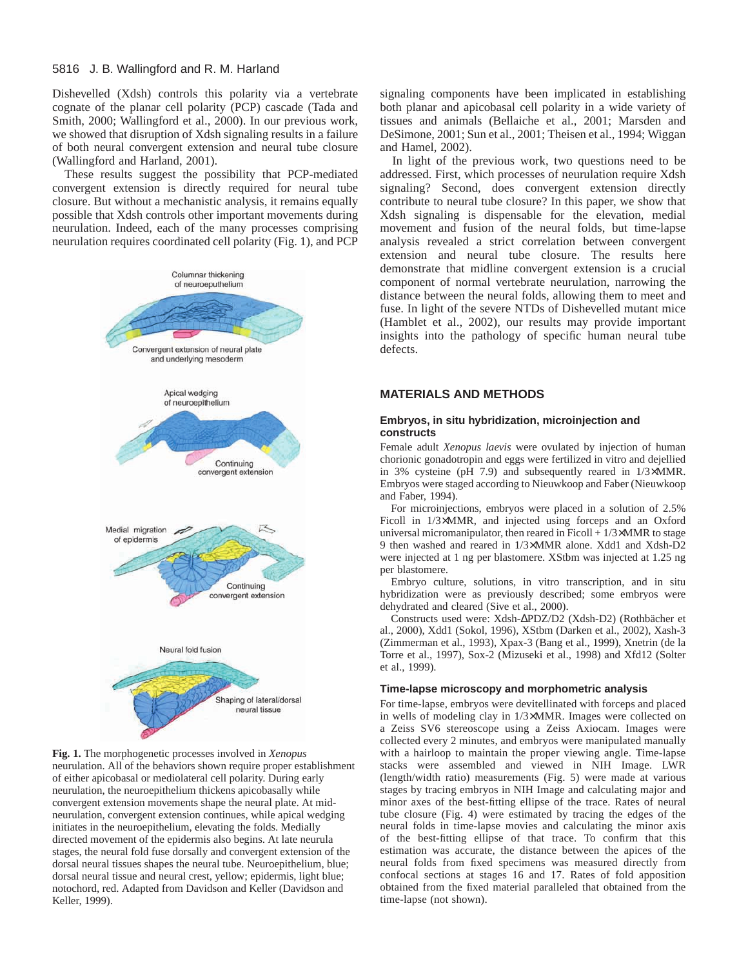Dishevelled (Xdsh) controls this polarity via a vertebrate cognate of the planar cell polarity (PCP) cascade (Tada and Smith, 2000; Wallingford et al., 2000). In our previous work, we showed that disruption of Xdsh signaling results in a failure of both neural convergent extension and neural tube closure (Wallingford and Harland, 2001).

These results suggest the possibility that PCP-mediated convergent extension is directly required for neural tube closure. But without a mechanistic analysis, it remains equally possible that Xdsh controls other important movements during neurulation. Indeed, each of the many processes comprising neurulation requires coordinated cell polarity (Fig. 1), and PCP



**Fig. 1.** The morphogenetic processes involved in *Xenopus* neurulation. All of the behaviors shown require proper establishment of either apicobasal or mediolateral cell polarity. During early neurulation, the neuroepithelium thickens apicobasally while convergent extension movements shape the neural plate. At midneurulation, convergent extension continues, while apical wedging initiates in the neuroepithelium, elevating the folds. Medially directed movement of the epidermis also begins. At late neurula stages, the neural fold fuse dorsally and convergent extension of the dorsal neural tissues shapes the neural tube. Neuroepithelium, blue; dorsal neural tissue and neural crest, yellow; epidermis, light blue; notochord, red. Adapted from Davidson and Keller (Davidson and Keller, 1999).

signaling components have been implicated in establishing both planar and apicobasal cell polarity in a wide variety of tissues and animals (Bellaiche et al., 2001; Marsden and DeSimone, 2001; Sun et al., 2001; Theisen et al., 1994; Wiggan and Hamel, 2002).

In light of the previous work, two questions need to be addressed. First, which processes of neurulation require Xdsh signaling? Second, does convergent extension directly contribute to neural tube closure? In this paper, we show that Xdsh signaling is dispensable for the elevation, medial movement and fusion of the neural folds, but time-lapse analysis revealed a strict correlation between convergent extension and neural tube closure. The results here demonstrate that midline convergent extension is a crucial component of normal vertebrate neurulation, narrowing the distance between the neural folds, allowing them to meet and fuse. In light of the severe NTDs of Dishevelled mutant mice (Hamblet et al., 2002), our results may provide important insights into the pathology of specific human neural tube defects.

## **MATERIALS AND METHODS**

#### **Embryos, in situ hybridization, microinjection and constructs**

Female adult *Xenopus laevis* were ovulated by injection of human chorionic gonadotropin and eggs were fertilized in vitro and dejellied in 3% cysteine (pH 7.9) and subsequently reared in 1/3×MMR. Embryos were staged according to Nieuwkoop and Faber (Nieuwkoop and Faber, 1994).

For microinjections, embryos were placed in a solution of 2.5% Ficoll in 1/3×MMR, and injected using forceps and an Oxford universal micromanipulator, then reared in Ficoll  $+1/3\times MMR$  to stage 9 then washed and reared in 1/3×MMR alone. Xdd1 and Xdsh-D2 were injected at 1 ng per blastomere. XStbm was injected at 1.25 ng per blastomere.

Embryo culture, solutions, in vitro transcription, and in situ hybridization were as previously described; some embryos were dehydrated and cleared (Sive et al., 2000).

Constructs used were: Xdsh-∆PDZ/D2 (Xdsh-D2) (Rothbächer et al., 2000), Xdd1 (Sokol, 1996), XStbm (Darken et al., 2002), Xash-3 (Zimmerman et al., 1993), Xpax-3 (Bang et al., 1999), Xnetrin (de la Torre et al., 1997), Sox-2 (Mizuseki et al., 1998) and Xfd12 (Solter et al., 1999).

#### **Time-lapse microscopy and morphometric analysis**

For time-lapse, embryos were devitellinated with forceps and placed in wells of modeling clay in 1/3×MMR. Images were collected on a Zeiss SV6 stereoscope using a Zeiss Axiocam. Images were collected every 2 minutes, and embryos were manipulated manually with a hairloop to maintain the proper viewing angle. Time-lapse stacks were assembled and viewed in NIH Image. LWR (length/width ratio) measurements (Fig. 5) were made at various stages by tracing embryos in NIH Image and calculating major and minor axes of the best-fitting ellipse of the trace. Rates of neural tube closure (Fig. 4) were estimated by tracing the edges of the neural folds in time-lapse movies and calculating the minor axis of the best-fitting ellipse of that trace. To confirm that this estimation was accurate, the distance between the apices of the neural folds from fixed specimens was measured directly from confocal sections at stages 16 and 17. Rates of fold apposition obtained from the fixed material paralleled that obtained from the time-lapse (not shown).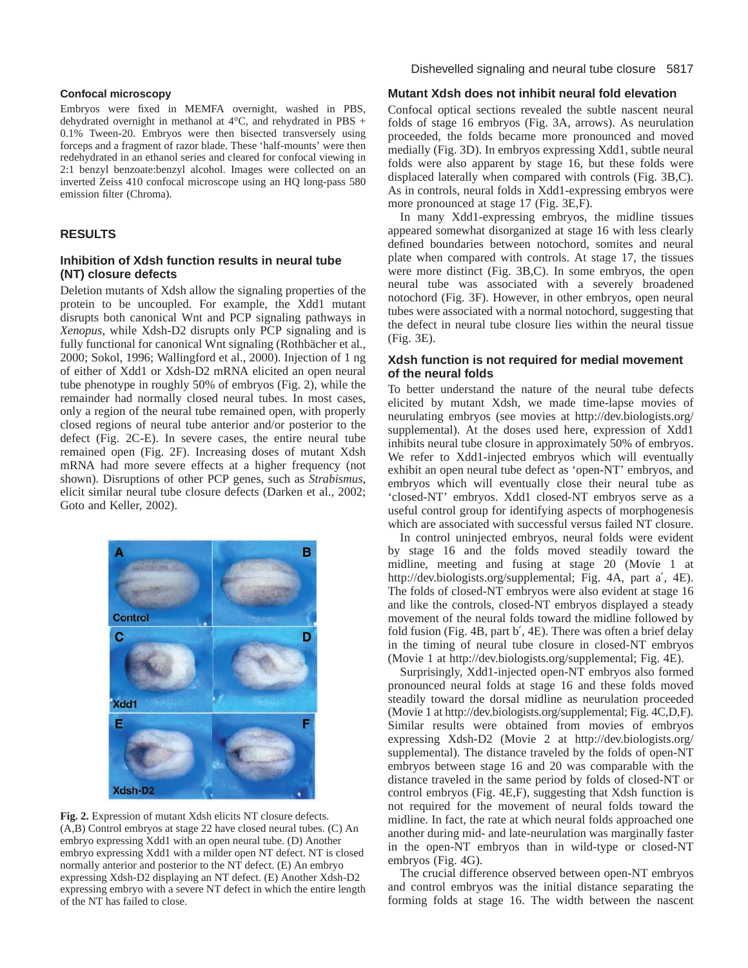#### **Confocal microscopy**

Embryos were fixed in MEMFA overnight, washed in PBS, dehydrated overnight in methanol at 4°C, and rehydrated in PBS + 0.1% Tween-20. Embryos were then bisected transversely using forceps and a fragment of razor blade. These 'half-mounts' were then redehydrated in an ethanol series and cleared for confocal viewing in 2:1 benzyl benzoate:benzyl alcohol. Images were collected on an inverted Zeiss 410 confocal microscope using an HQ long-pass 580 emission filter (Chroma).

# **RESULTS**

## **Inhibition of Xdsh function results in neural tube (NT) closure defects**

Deletion mutants of Xdsh allow the signaling properties of the protein to be uncoupled. For example, the Xdd1 mutant disrupts both canonical Wnt and PCP signaling pathways in *Xenopus*, while Xdsh-D2 disrupts only PCP signaling and is fully functional for canonical Wnt signaling (Rothbächer et al., 2000; Sokol, 1996; Wallingford et al., 2000). Injection of 1 ng of either of Xdd1 or Xdsh-D2 mRNA elicited an open neural tube phenotype in roughly 50% of embryos (Fig. 2), while the remainder had normally closed neural tubes. In most cases, only a region of the neural tube remained open, with properly closed regions of neural tube anterior and/or posterior to the defect (Fig. 2C-E). In severe cases, the entire neural tube remained open (Fig. 2F). Increasing doses of mutant Xdsh mRNA had more severe effects at a higher frequency (not shown). Disruptions of other PCP genes, such as *Strabismus*, elicit similar neural tube closure defects (Darken et al., 2002; Goto and Keller, 2002).



**Fig. 2.** Expression of mutant Xdsh elicits NT closure defects. (A,B) Control embryos at stage 22 have closed neural tubes. (C) An embryo expressing Xdd1 with an open neural tube. (D) Another embryo expressing Xdd1 with a milder open NT defect. NT is closed normally anterior and posterior to the NT defect. (E) An embryo expressing Xdsh-D2 displaying an NT defect. (E) Another Xdsh-D2 expressing embryo with a severe NT defect in which the entire length of the NT has failed to close.

## **Mutant Xdsh does not inhibit neural fold elevation**

Confocal optical sections revealed the subtle nascent neural folds of stage 16 embryos (Fig. 3A, arrows). As neurulation proceeded, the folds became more pronounced and moved medially (Fig. 3D). In embryos expressing Xdd1, subtle neural folds were also apparent by stage 16, but these folds were displaced laterally when compared with controls (Fig. 3B,C). As in controls, neural folds in Xdd1-expressing embryos were more pronounced at stage 17 (Fig. 3E,F).

In many Xdd1-expressing embryos, the midline tissues appeared somewhat disorganized at stage 16 with less clearly defined boundaries between notochord, somites and neural plate when compared with controls. At stage 17, the tissues were more distinct (Fig. 3B,C). In some embryos, the open neural tube was associated with a severely broadened notochord (Fig. 3F). However, in other embryos, open neural tubes were associated with a normal notochord, suggesting that the defect in neural tube closure lies within the neural tissue (Fig. 3E).

## **Xdsh function is not required for medial movement of the neural folds**

To better understand the nature of the neural tube defects elicited by mutant Xdsh, we made time-lapse movies of neurulating embryos (see movies at <http://dev.biologists.org/> supplemental). At the doses used here, expression of Xdd1 inhibits neural tube closure in approximately 50% of embryos. We refer to Xdd1-injected embryos which will eventually exhibit an open neural tube defect as 'open-NT' embryos, and embryos which will eventually close their neural tube as 'closed-NT' embryos. Xdd1 closed-NT embryos serve as a useful control group for identifying aspects of morphogenesis which are associated with successful versus failed NT closure.

In control uninjected embryos, neural folds were evident by stage 16 and the folds moved steadily toward the midline, meeting and fusing at stage 20 (Movie 1 at [http://dev.biologists.org/supplemental;](http://dev.biologists.org/supplemental) Fig. 4A, part a′, 4E). The folds of closed-NT embryos were also evident at stage 16 and like the controls, closed-NT embryos displayed a steady movement of the neural folds toward the midline followed by fold fusion (Fig. 4B, part b′, 4E). There was often a brief delay in the timing of neural tube closure in closed-NT embryos (Movie 1 at [http://dev.biologists.org/supplemental;](http://dev.biologists.org/supplemental) Fig. 4E).

Surprisingly, Xdd1-injected open-NT embryos also formed pronounced neural folds at stage 16 and these folds moved steadily toward the dorsal midline as neurulation proceeded (Movie 1 at [http://dev.biologists.org/supplemental;](http://dev.biologists.org/supplemental) Fig. 4C,D,F). Similar results were obtained from movies of embryos expressing Xdsh-D2 (Movie 2 at <http://dev.biologists.org/> supplemental). The distance traveled by the folds of open-NT embryos between stage 16 and 20 was comparable with the distance traveled in the same period by folds of closed-NT or control embryos (Fig. 4E,F), suggesting that Xdsh function is not required for the movement of neural folds toward the midline. In fact, the rate at which neural folds approached one another during mid- and late-neurulation was marginally faster in the open-NT embryos than in wild-type or closed-NT embryos (Fig. 4G).

The crucial difference observed between open-NT embryos and control embryos was the initial distance separating the forming folds at stage 16. The width between the nascent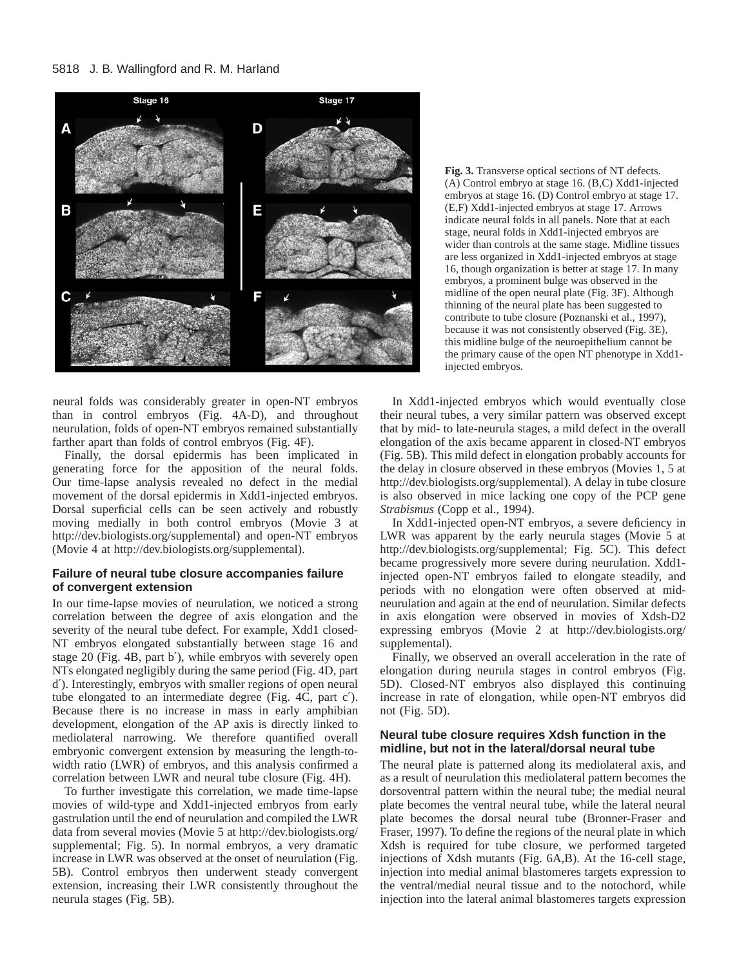

neural folds was considerably greater in open-NT embryos than in control embryos (Fig. 4A-D), and throughout neurulation, folds of open-NT embryos remained substantially farther apart than folds of control embryos (Fig. 4F).

Finally, the dorsal epidermis has been implicated in generating force for the apposition of the neural folds. Our time-lapse analysis revealed no defect in the medial movement of the dorsal epidermis in Xdd1-injected embryos. Dorsal superficial cells can be seen actively and robustly moving medially in both control embryos (Movie 3 at [http://dev.biologists.org/supplemental\)](http://dev.biologists.org/supplemental) and open-NT embryos (Movie 4 at [http://dev.biologists.org/supplemental\).](http://dev.biologists.org/supplemental) 

### **Failure of neural tube closure accompanies failure of convergent extension**

In our time-lapse movies of neurulation, we noticed a strong correlation between the degree of axis elongation and the severity of the neural tube defect. For example, Xdd1 closed-NT embryos elongated substantially between stage 16 and stage 20 (Fig. 4B, part b′), while embryos with severely open NTs elongated negligibly during the same period (Fig. 4D, part d′). Interestingly, embryos with smaller regions of open neural tube elongated to an intermediate degree (Fig. 4C, part c′). Because there is no increase in mass in early amphibian development, elongation of the AP axis is directly linked to mediolateral narrowing. We therefore quantified overall embryonic convergent extension by measuring the length-towidth ratio (LWR) of embryos, and this analysis confirmed a correlation between LWR and neural tube closure (Fig. 4H).

To further investigate this correlation, we made time-lapse movies of wild-type and Xdd1-injected embryos from early gastrulation until the end of neurulation and compiled the LWR data from several movies (Movie 5 at <http://dev.biologists.org/> supplemental; Fig. 5). In normal embryos, a very dramatic increase in LWR was observed at the onset of neurulation (Fig. 5B). Control embryos then underwent steady convergent extension, increasing their LWR consistently throughout the neurula stages (Fig. 5B).

**Fig. 3.** Transverse optical sections of NT defects. (A) Control embryo at stage 16. (B,C) Xdd1-injected embryos at stage 16. (D) Control embryo at stage 17. (E,F) Xdd1-injected embryos at stage 17. Arrows indicate neural folds in all panels. Note that at each stage, neural folds in Xdd1-injected embryos are wider than controls at the same stage. Midline tissues are less organized in Xdd1-injected embryos at stage 16, though organization is better at stage 17. In many embryos, a prominent bulge was observed in the midline of the open neural plate (Fig. 3F). Although thinning of the neural plate has been suggested to contribute to tube closure (Poznanski et al., 1997), because it was not consistently observed (Fig. 3E), this midline bulge of the neuroepithelium cannot be the primary cause of the open NT phenotype in Xdd1 injected embryos.

In Xdd1-injected embryos which would eventually close their neural tubes, a very similar pattern was observed except that by mid- to late-neurula stages, a mild defect in the overall elongation of the axis became apparent in closed-NT embryos (Fig. 5B). This mild defect in elongation probably accounts for the delay in closure observed in these embryos (Movies 1, 5 at [http://dev.biologists.org/supplemental\).](http://dev.biologists.org/supplemental) A delay in tube closure is also observed in mice lacking one copy of the PCP gene *Strabismus* (Copp et al., 1994).

In Xdd1-injected open-NT embryos, a severe deficiency in LWR was apparent by the early neurula stages (Movie 5 at [http://dev.biologists.org/supplemental;](http://dev.biologists.org/supplemental) Fig. 5C). This defect became progressively more severe during neurulation. Xdd1 injected open-NT embryos failed to elongate steadily, and periods with no elongation were often observed at midneurulation and again at the end of neurulation. Similar defects in axis elongation were observed in movies of Xdsh-D2 expressing embryos (Movie 2 at <http://dev.biologists.org/> supplemental).

Finally, we observed an overall acceleration in the rate of elongation during neurula stages in control embryos (Fig. 5D). Closed-NT embryos also displayed this continuing increase in rate of elongation, while open-NT embryos did not (Fig. 5D).

#### **Neural tube closure requires Xdsh function in the midline, but not in the lateral/dorsal neural tube**

The neural plate is patterned along its mediolateral axis, and as a result of neurulation this mediolateral pattern becomes the dorsoventral pattern within the neural tube; the medial neural plate becomes the ventral neural tube, while the lateral neural plate becomes the dorsal neural tube (Bronner-Fraser and Fraser, 1997). To define the regions of the neural plate in which Xdsh is required for tube closure, we performed targeted injections of Xdsh mutants (Fig. 6A,B). At the 16-cell stage, injection into medial animal blastomeres targets expression to the ventral/medial neural tissue and to the notochord, while injection into the lateral animal blastomeres targets expression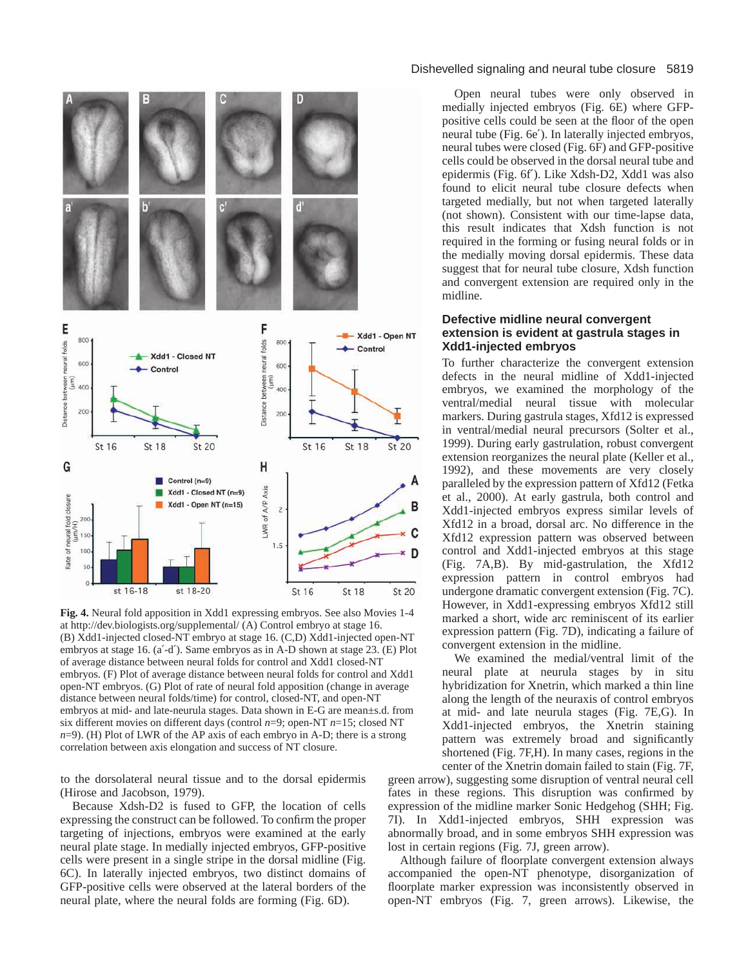

**Fig. 4.** Neural fold apposition in Xdd1 expressing embryos. See also Movies 1-4 at <http://dev.biologists.org/supplemental/>(A) Control embryo at stage 16. (B) Xdd1-injected closed-NT embryo at stage 16. (C,D) Xdd1-injected open-NT embryos at stage 16. (a′-d′). Same embryos as in A-D shown at stage 23. (E) Plot of average distance between neural folds for control and Xdd1 closed-NT embryos. (F) Plot of average distance between neural folds for control and Xdd1 open-NT embryos. (G) Plot of rate of neural fold apposition (change in average distance between neural folds/time) for control, closed-NT, and open-NT embryos at mid- and late-neurula stages. Data shown in E-G are mean±s.d. from six different movies on different days (control *n*=9; open-NT *n*=15; closed NT *n*=9). (H) Plot of LWR of the AP axis of each embryo in A-D; there is a strong correlation between axis elongation and success of NT closure.

to the dorsolateral neural tissue and to the dorsal epidermis (Hirose and Jacobson, 1979).

Because Xdsh-D2 is fused to GFP, the location of cells expressing the construct can be followed. To confirm the proper targeting of injections, embryos were examined at the early neural plate stage. In medially injected embryos, GFP-positive cells were present in a single stripe in the dorsal midline (Fig. 6C). In laterally injected embryos, two distinct domains of GFP-positive cells were observed at the lateral borders of the neural plate, where the neural folds are forming (Fig. 6D).

## Dishevelled signaling and neural tube closure 5819

Open neural tubes were only observed in medially injected embryos (Fig. 6E) where GFPpositive cells could be seen at the floor of the open neural tube (Fig. 6e′). In laterally injected embryos, neural tubes were closed (Fig. 6F) and GFP-positive cells could be observed in the dorsal neural tube and epidermis (Fig. 6f′). Like Xdsh-D2, Xdd1 was also found to elicit neural tube closure defects when targeted medially, but not when targeted laterally (not shown). Consistent with our time-lapse data, this result indicates that Xdsh function is not required in the forming or fusing neural folds or in the medially moving dorsal epidermis. These data suggest that for neural tube closure, Xdsh function and convergent extension are required only in the midline.

# **Defective midline neural convergent extension is evident at gastrula stages in Xdd1-injected embryos**

To further characterize the convergent extension defects in the neural midline of Xdd1-injected embryos, we examined the morphology of the ventral/medial neural tissue with molecular markers. During gastrula stages, Xfd12 is expressed in ventral/medial neural precursors (Solter et al., 1999). During early gastrulation, robust convergent extension reorganizes the neural plate (Keller et al., 1992), and these movements are very closely paralleled by the expression pattern of Xfd12 (Fetka et al., 2000). At early gastrula, both control and Xdd1-injected embryos express similar levels of Xfd12 in a broad, dorsal arc. No difference in the Xfd12 expression pattern was observed between control and Xdd1-injected embryos at this stage (Fig. 7A,B). By mid-gastrulation, the Xfd12 expression pattern in control embryos had undergone dramatic convergent extension (Fig. 7C). However, in Xdd1-expressing embryos Xfd12 still marked a short, wide arc reminiscent of its earlier expression pattern (Fig. 7D), indicating a failure of convergent extension in the midline.

We examined the medial/ventral limit of the neural plate at neurula stages by in situ hybridization for Xnetrin, which marked a thin line along the length of the neuraxis of control embryos at mid- and late neurula stages (Fig. 7E,G). In Xdd1-injected embryos, the Xnetrin staining pattern was extremely broad and significantly shortened (Fig. 7F,H). In many cases, regions in the center of the Xnetrin domain failed to stain (Fig. 7F,

green arrow), suggesting some disruption of ventral neural cell fates in these regions. This disruption was confirmed by expression of the midline marker Sonic Hedgehog (SHH; Fig. 7I). In Xdd1-injected embryos, SHH expression was abnormally broad, and in some embryos SHH expression was lost in certain regions (Fig. 7J, green arrow).

Although failure of floorplate convergent extension always accompanied the open-NT phenotype, disorganization of floorplate marker expression was inconsistently observed in open-NT embryos (Fig. 7, green arrows). Likewise, the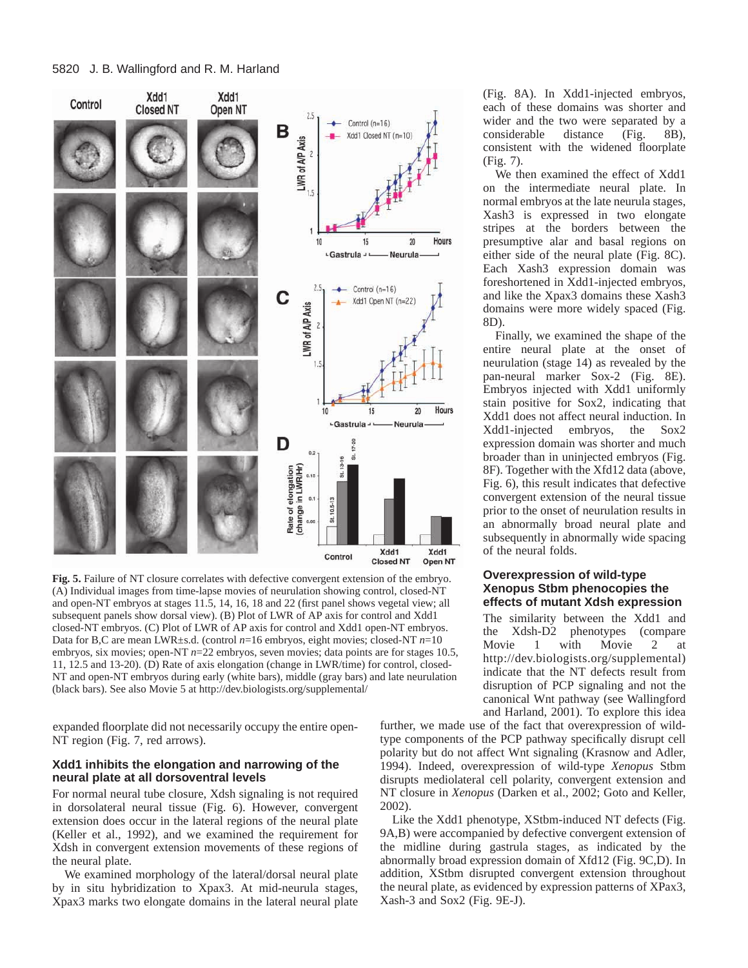

**Fig. 5.** Failure of NT closure correlates with defective convergent extension of the embryo. (A) Individual images from time-lapse movies of neurulation showing control, closed-NT and open-NT embryos at stages 11.5, 14, 16, 18 and 22 (first panel shows vegetal view; all subsequent panels show dorsal view). (B) Plot of LWR of AP axis for control and Xdd1 closed-NT embryos. (C) Plot of LWR of AP axis for control and Xdd1 open-NT embryos. Data for B,C are mean LWR±s.d. (control *n*=16 embryos, eight movies; closed-NT *n*=10 embryos, six movies; open-NT  $n=22$  embryos, seven movies; data points are for stages 10.5, 11, 12.5 and 13-20). (D) Rate of axis elongation (change in LWR/time) for control, closed-NT and open-NT embryos during early (white bars), middle (gray bars) and late neurulation (black bars). See also Movie 5 at<http://dev.biologists.org/supplemental/>

expanded floorplate did not necessarily occupy the entire open-NT region (Fig. 7, red arrows).

## **Xdd1 inhibits the elongation and narrowing of the neural plate at all dorsoventral levels**

For normal neural tube closure, Xdsh signaling is not required in dorsolateral neural tissue (Fig. 6). However, convergent extension does occur in the lateral regions of the neural plate (Keller et al., 1992), and we examined the requirement for Xdsh in convergent extension movements of these regions of the neural plate.

We examined morphology of the lateral/dorsal neural plate by in situ hybridization to Xpax3. At mid-neurula stages, Xpax3 marks two elongate domains in the lateral neural plate

(Fig. 8A). In Xdd1-injected embryos, each of these domains was shorter and wider and the two were separated by a considerable distance (Fig. 8B), consistent with the widened floorplate (Fig. 7).

We then examined the effect of Xdd1 on the intermediate neural plate. In normal embryos at the late neurula stages, Xash3 is expressed in two elongate stripes at the borders between the presumptive alar and basal regions on either side of the neural plate (Fig. 8C). Each Xash3 expression domain was foreshortened in Xdd1-injected embryos, and like the Xpax3 domains these Xash3 domains were more widely spaced (Fig. 8D).

Finally, we examined the shape of the entire neural plate at the onset of neurulation (stage 14) as revealed by the pan-neural marker Sox-2 (Fig. 8E). Embryos injected with Xdd1 uniformly stain positive for Sox2, indicating that Xdd1 does not affect neural induction. In Xdd1-injected embryos, the Sox2 expression domain was shorter and much broader than in uninjected embryos (Fig. 8F). Together with the Xfd12 data (above, Fig. 6), this result indicates that defective convergent extension of the neural tissue prior to the onset of neurulation results in an abnormally broad neural plate and subsequently in abnormally wide spacing of the neural folds.

#### **Overexpression of wild-type Xenopus Stbm phenocopies the effects of mutant Xdsh expression**

The similarity between the Xdd1 and the Xdsh-D2 phenotypes (compare Movie 1 with Movie 2 at [http://dev.biologists.org/supplemental\)](http://dev.biologists.org/supplemental) indicate that the NT defects result from disruption of PCP signaling and not the canonical Wnt pathway (see Wallingford and Harland, 2001). To explore this idea

further, we made use of the fact that overexpression of wildtype components of the PCP pathway specifically disrupt cell polarity but do not affect Wnt signaling (Krasnow and Adler, 1994). Indeed, overexpression of wild-type *Xenopus* Stbm disrupts mediolateral cell polarity, convergent extension and NT closure in *Xenopus* (Darken et al., 2002; Goto and Keller, 2002).

Like the Xdd1 phenotype, XStbm-induced NT defects (Fig. 9A,B) were accompanied by defective convergent extension of the midline during gastrula stages, as indicated by the abnormally broad expression domain of Xfd12 (Fig. 9C,D). In addition, XStbm disrupted convergent extension throughout the neural plate, as evidenced by expression patterns of XPax3, Xash-3 and Sox2 (Fig. 9E-J).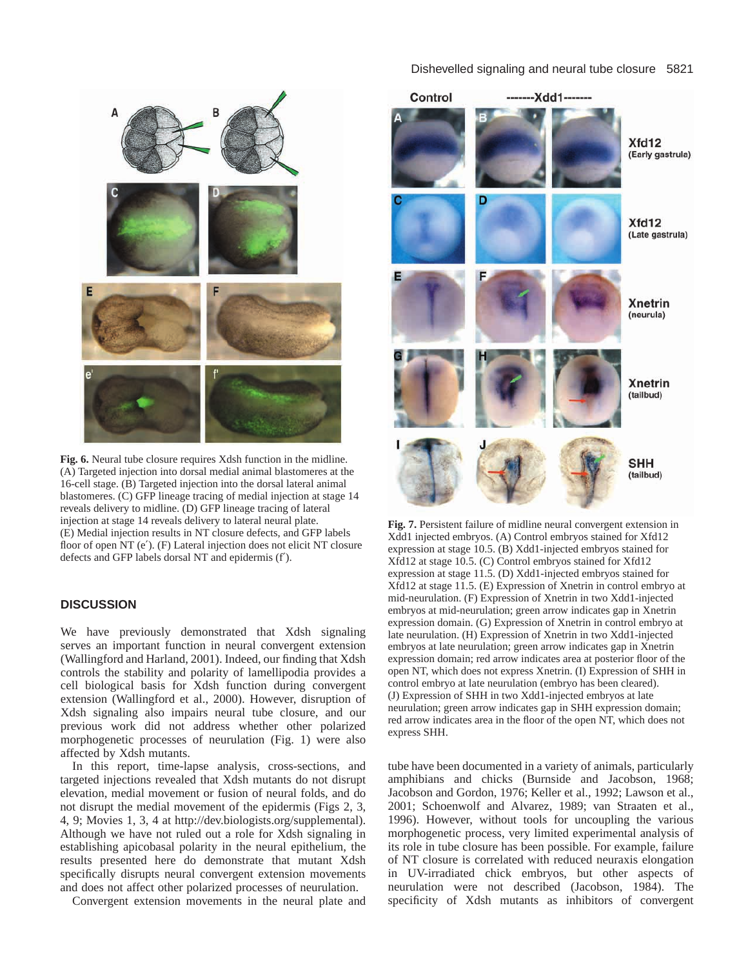



**Fig. 6.** Neural tube closure requires Xdsh function in the midline. (A) Targeted injection into dorsal medial animal blastomeres at the 16-cell stage. (B) Targeted injection into the dorsal lateral animal blastomeres. (C) GFP lineage tracing of medial injection at stage 14 reveals delivery to midline. (D) GFP lineage tracing of lateral injection at stage 14 reveals delivery to lateral neural plate. (E) Medial injection results in NT closure defects, and GFP labels floor of open NT (e′). (F) Lateral injection does not elicit NT closure defects and GFP labels dorsal NT and epidermis (f′).

## **DISCUSSION**

We have previously demonstrated that Xdsh signaling serves an important function in neural convergent extension (Wallingford and Harland, 2001). Indeed, our finding that Xdsh controls the stability and polarity of lamellipodia provides a cell biological basis for Xdsh function during convergent extension (Wallingford et al., 2000). However, disruption of Xdsh signaling also impairs neural tube closure, and our previous work did not address whether other polarized morphogenetic processes of neurulation (Fig. 1) were also affected by Xdsh mutants.

In this report, time-lapse analysis, cross-sections, and targeted injections revealed that Xdsh mutants do not disrupt elevation, medial movement or fusion of neural folds, and do not disrupt the medial movement of the epidermis (Figs 2, 3, 4, 9; Movies 1, 3, 4 at [http://dev.biologists.org/supplemental\).](http://dev.biologists.org/supplemental) Although we have not ruled out a role for Xdsh signaling in establishing apicobasal polarity in the neural epithelium, the results presented here do demonstrate that mutant Xdsh specifically disrupts neural convergent extension movements and does not affect other polarized processes of neurulation.

Convergent extension movements in the neural plate and



**Fig. 7.** Persistent failure of midline neural convergent extension in Xdd1 injected embryos. (A) Control embryos stained for Xfd12 expression at stage 10.5. (B) Xdd1-injected embryos stained for Xfd12 at stage 10.5. (C) Control embryos stained for Xfd12 expression at stage 11.5. (D) Xdd1-injected embryos stained for Xfd12 at stage 11.5. (E) Expression of Xnetrin in control embryo at mid-neurulation. (F) Expression of Xnetrin in two Xdd1-injected embryos at mid-neurulation; green arrow indicates gap in Xnetrin expression domain. (G) Expression of Xnetrin in control embryo at late neurulation. (H) Expression of Xnetrin in two Xdd1-injected embryos at late neurulation; green arrow indicates gap in Xnetrin expression domain; red arrow indicates area at posterior floor of the open NT, which does not express Xnetrin. (I) Expression of SHH in control embryo at late neurulation (embryo has been cleared). (J) Expression of SHH in two Xdd1-injected embryos at late neurulation; green arrow indicates gap in SHH expression domain; red arrow indicates area in the floor of the open NT, which does not express SHH.

tube have been documented in a variety of animals, particularly amphibians and chicks (Burnside and Jacobson, 1968; Jacobson and Gordon, 1976; Keller et al., 1992; Lawson et al., 2001; Schoenwolf and Alvarez, 1989; van Straaten et al., 1996). However, without tools for uncoupling the various morphogenetic process, very limited experimental analysis of its role in tube closure has been possible. For example, failure of NT closure is correlated with reduced neuraxis elongation in UV-irradiated chick embryos, but other aspects of neurulation were not described (Jacobson, 1984). The specificity of Xdsh mutants as inhibitors of convergent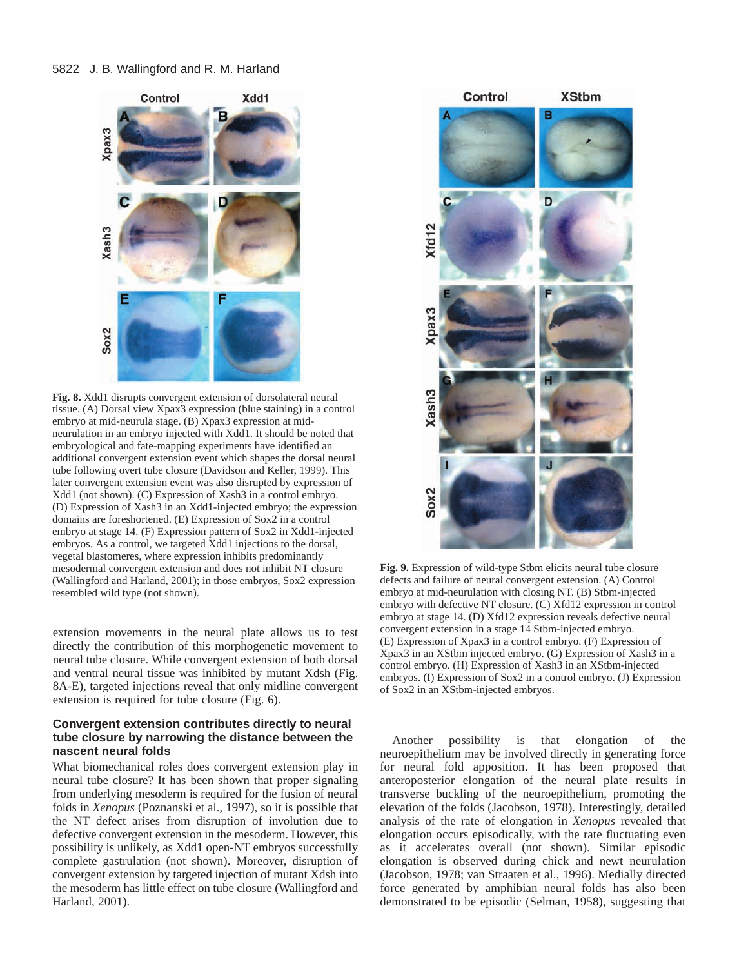

**Fig. 8.** Xdd1 disrupts convergent extension of dorsolateral neural tissue. (A) Dorsal view Xpax3 expression (blue staining) in a control embryo at mid-neurula stage. (B) Xpax3 expression at midneurulation in an embryo injected with Xdd1. It should be noted that embryological and fate-mapping experiments have identified an additional convergent extension event which shapes the dorsal neural tube following overt tube closure (Davidson and Keller, 1999). This later convergent extension event was also disrupted by expression of Xdd1 (not shown). (C) Expression of Xash3 in a control embryo. (D) Expression of Xash3 in an Xdd1-injected embryo; the expression domains are foreshortened. (E) Expression of Sox2 in a control embryo at stage 14. (F) Expression pattern of Sox2 in Xdd1-injected embryos. As a control, we targeted Xdd1 injections to the dorsal, vegetal blastomeres, where expression inhibits predominantly mesodermal convergent extension and does not inhibit NT closure (Wallingford and Harland, 2001); in those embryos, Sox2 expression resembled wild type (not shown).

extension movements in the neural plate allows us to test directly the contribution of this morphogenetic movement to neural tube closure. While convergent extension of both dorsal and ventral neural tissue was inhibited by mutant Xdsh (Fig. 8A-E), targeted injections reveal that only midline convergent extension is required for tube closure (Fig. 6).

# **Convergent extension contributes directly to neural tube closure by narrowing the distance between the nascent neural folds**

What biomechanical roles does convergent extension play in neural tube closure? It has been shown that proper signaling from underlying mesoderm is required for the fusion of neural folds in *Xenopus* (Poznanski et al., 1997), so it is possible that the NT defect arises from disruption of involution due to defective convergent extension in the mesoderm. However, this possibility is unlikely, as Xdd1 open-NT embryos successfully complete gastrulation (not shown). Moreover, disruption of convergent extension by targeted injection of mutant Xdsh into the mesoderm has little effect on tube closure (Wallingford and Harland, 2001).



**Fig. 9.** Expression of wild-type Stbm elicits neural tube closure defects and failure of neural convergent extension. (A) Control embryo at mid-neurulation with closing NT. (B) Stbm-injected embryo with defective NT closure. (C) Xfd12 expression in control embryo at stage 14. (D) Xfd12 expression reveals defective neural convergent extension in a stage 14 Stbm-injected embryo. (E) Expression of Xpax3 in a control embryo. (F) Expression of Xpax3 in an XStbm injected embryo. (G) Expression of Xash3 in a control embryo. (H) Expression of Xash3 in an XStbm-injected embryos. (I) Expression of Sox2 in a control embryo. (J) Expression of Sox2 in an XStbm-injected embryos.

Another possibility is that elongation of the neuroepithelium may be involved directly in generating force for neural fold apposition. It has been proposed that anteroposterior elongation of the neural plate results in transverse buckling of the neuroepithelium, promoting the elevation of the folds (Jacobson, 1978). Interestingly, detailed analysis of the rate of elongation in *Xenopus* revealed that elongation occurs episodically, with the rate fluctuating even as it accelerates overall (not shown). Similar episodic elongation is observed during chick and newt neurulation (Jacobson, 1978; van Straaten et al., 1996). Medially directed force generated by amphibian neural folds has also been demonstrated to be episodic (Selman, 1958), suggesting that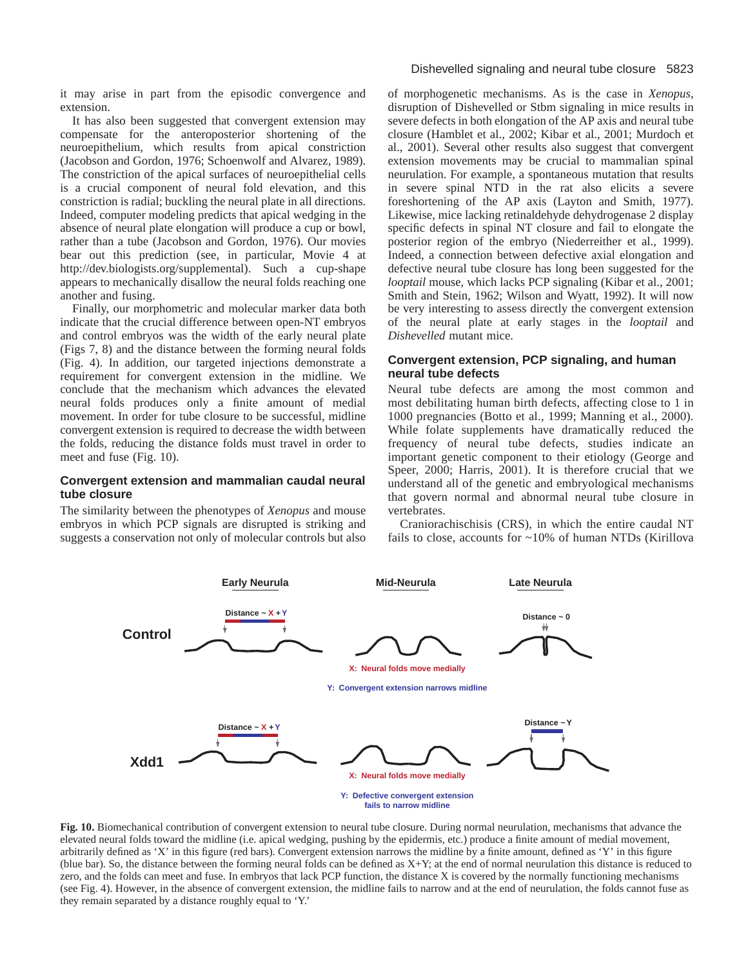it may arise in part from the episodic convergence and extension.

It has also been suggested that convergent extension may compensate for the anteroposterior shortening of the neuroepithelium, which results from apical constriction (Jacobson and Gordon, 1976; Schoenwolf and Alvarez, 1989). The constriction of the apical surfaces of neuroepithelial cells is a crucial component of neural fold elevation, and this constriction is radial; buckling the neural plate in all directions. Indeed, computer modeling predicts that apical wedging in the absence of neural plate elongation will produce a cup or bowl, rather than a tube (Jacobson and Gordon, 1976). Our movies bear out this prediction (see, in particular, Movie 4 at [http://dev.biologists.org/supplemental\).](http://dev.biologists.org/supplemental) Such a cup-shape appears to mechanically disallow the neural folds reaching one another and fusing.

Finally, our morphometric and molecular marker data both indicate that the crucial difference between open-NT embryos and control embryos was the width of the early neural plate (Figs 7, 8) and the distance between the forming neural folds (Fig. 4). In addition, our targeted injections demonstrate a requirement for convergent extension in the midline. We conclude that the mechanism which advances the elevated neural folds produces only a finite amount of medial movement. In order for tube closure to be successful, midline convergent extension is required to decrease the width between the folds, reducing the distance folds must travel in order to meet and fuse (Fig. 10).

# **Convergent extension and mammalian caudal neural tube closure**

The similarity between the phenotypes of *Xenopus* and mouse embryos in which PCP signals are disrupted is striking and suggests a conservation not only of molecular controls but also

#### Dishevelled signaling and neural tube closure 5823

of morphogenetic mechanisms. As is the case in *Xenopus*, disruption of Dishevelled or Stbm signaling in mice results in severe defects in both elongation of the AP axis and neural tube closure (Hamblet et al., 2002; Kibar et al., 2001; Murdoch et al., 2001). Several other results also suggest that convergent extension movements may be crucial to mammalian spinal neurulation. For example, a spontaneous mutation that results in severe spinal NTD in the rat also elicits a severe foreshortening of the AP axis (Layton and Smith, 1977). Likewise, mice lacking retinaldehyde dehydrogenase 2 display specific defects in spinal NT closure and fail to elongate the posterior region of the embryo (Niederreither et al., 1999). Indeed, a connection between defective axial elongation and defective neural tube closure has long been suggested for the *looptail* mouse, which lacks PCP signaling (Kibar et al., 2001; Smith and Stein, 1962; Wilson and Wyatt, 1992). It will now be very interesting to assess directly the convergent extension of the neural plate at early stages in the *looptail* and *Dishevelled* mutant mice.

## **Convergent extension, PCP signaling, and human neural tube defects**

Neural tube defects are among the most common and most debilitating human birth defects, affecting close to 1 in 1000 pregnancies (Botto et al., 1999; Manning et al., 2000). While folate supplements have dramatically reduced the frequency of neural tube defects, studies indicate an important genetic component to their etiology (George and Speer, 2000; Harris, 2001). It is therefore crucial that we understand all of the genetic and embryological mechanisms that govern normal and abnormal neural tube closure in vertebrates.

Craniorachischisis (CRS), in which the entire caudal NT fails to close, accounts for ~10% of human NTDs (Kirillova



**Fig. 10.** Biomechanical contribution of convergent extension to neural tube closure. During normal neurulation, mechanisms that advance the elevated neural folds toward the midline (i.e. apical wedging, pushing by the epidermis, etc.) produce a finite amount of medial movement, arbitrarily defined as 'X' in this figure (red bars). Convergent extension narrows the midline by a finite amount, defined as 'Y' in this figure (blue bar). So, the distance between the forming neural folds can be defined as X+Y; at the end of normal neurulation this distance is reduced to zero, and the folds can meet and fuse. In embryos that lack PCP function, the distance X is covered by the normally functioning mechanisms (see Fig. 4). However, in the absence of convergent extension, the midline fails to narrow and at the end of neurulation, the folds cannot fuse as they remain separated by a distance roughly equal to 'Y.'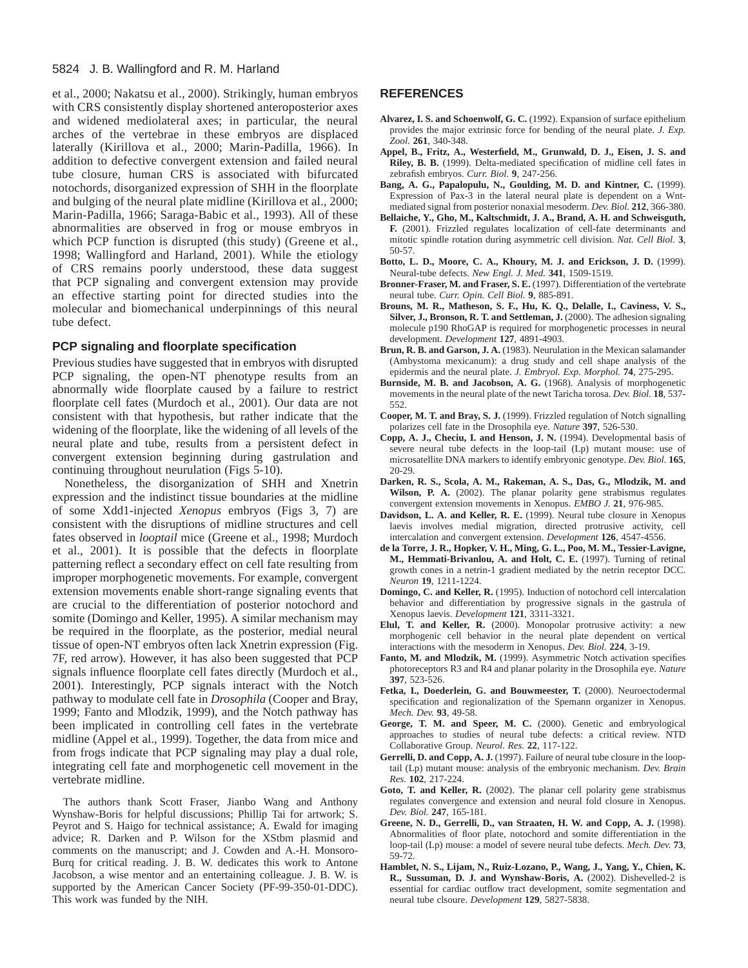et al., 2000; Nakatsu et al., 2000). Strikingly, human embryos with CRS consistently display shortened anteroposterior axes and widened mediolateral axes; in particular, the neural arches of the vertebrae in these embryos are displaced laterally (Kirillova et al., 2000; Marin-Padilla, 1966). In addition to defective convergent extension and failed neural tube closure, human CRS is associated with bifurcated notochords, disorganized expression of SHH in the floorplate and bulging of the neural plate midline (Kirillova et al., 2000; Marin-Padilla, 1966; Saraga-Babic et al., 1993). All of these abnormalities are observed in frog or mouse embryos in which PCP function is disrupted (this study) (Greene et al., 1998; Wallingford and Harland, 2001). While the etiology of CRS remains poorly understood, these data suggest that PCP signaling and convergent extension may provide an effective starting point for directed studies into the molecular and biomechanical underpinnings of this neural tube defect.

#### **PCP signaling and floorplate specification**

Previous studies have suggested that in embryos with disrupted PCP signaling, the open-NT phenotype results from an abnormally wide floorplate caused by a failure to restrict floorplate cell fates (Murdoch et al., 2001). Our data are not consistent with that hypothesis, but rather indicate that the widening of the floorplate, like the widening of all levels of the neural plate and tube, results from a persistent defect in convergent extension beginning during gastrulation and continuing throughout neurulation (Figs 5-10).

Nonetheless, the disorganization of SHH and Xnetrin expression and the indistinct tissue boundaries at the midline of some Xdd1-injected *Xenopus* embryos (Figs 3, 7) are consistent with the disruptions of midline structures and cell fates observed in *looptail* mice (Greene et al., 1998; Murdoch et al., 2001). It is possible that the defects in floorplate patterning reflect a secondary effect on cell fate resulting from improper morphogenetic movements. For example, convergent extension movements enable short-range signaling events that are crucial to the differentiation of posterior notochord and somite (Domingo and Keller, 1995). A similar mechanism may be required in the floorplate, as the posterior, medial neural tissue of open-NT embryos often lack Xnetrin expression (Fig. 7F, red arrow). However, it has also been suggested that PCP signals influence floorplate cell fates directly (Murdoch et al., 2001). Interestingly, PCP signals interact with the Notch pathway to modulate cell fate in *Drosophila* (Cooper and Bray, 1999; Fanto and Mlodzik, 1999), and the Notch pathway has been implicated in controlling cell fates in the vertebrate midline (Appel et al., 1999). Together, the data from mice and from frogs indicate that PCP signaling may play a dual role, integrating cell fate and morphogenetic cell movement in the vertebrate midline.

The authors thank Scott Fraser, Jianbo Wang and Anthony Wynshaw-Boris for helpful discussions; Phillip Tai for artwork; S. Peyrot and S. Haigo for technical assistance; A. Ewald for imaging advice; R. Darken and P. Wilson for the XStbm plasmid and comments on the manuscript; and J. Cowden and A.-H. Monsoro-Burq for critical reading. J. B. W. dedicates this work to Antone Jacobson, a wise mentor and an entertaining colleague. J. B. W. is supported by the American Cancer Society (PF-99-350-01-DDC). This work was funded by the NIH.

#### **REFERENCES**

- **Alvarez, I. S. and Schoenwolf, G. C.** (1992). Expansion of surface epithelium provides the major extrinsic force for bending of the neural plate. *J. Exp. Zool.* **261**, 340-348.
- **Appel, B., Fritz, A., Westerfield, M., Grunwald, D. J., Eisen, J. S. and Riley, B. B.** (1999). Delta-mediated specification of midline cell fates in zebrafish embryos. *Curr. Biol.* **9**, 247-256.
- **Bang, A. G., Papalopulu, N., Goulding, M. D. and Kintner, C.** (1999). Expression of Pax-3 in the lateral neural plate is dependent on a Wntmediated signal from posterior nonaxial mesoderm. *Dev. Biol.* **212**, 366-380.
- **Bellaiche, Y., Gho, M., Kaltschmidt, J. A., Brand, A. H. and Schweisguth, F.** (2001). Frizzled regulates localization of cell-fate determinants and mitotic spindle rotation during asymmetric cell division. *Nat. Cell Biol.* **3**, 50-57.
- **Botto, L. D., Moore, C. A., Khoury, M. J. and Erickson, J. D.** (1999). Neural-tube defects. *New Engl. J. Med.* **341**, 1509-1519.
- **Bronner-Fraser, M. and Fraser, S. E.** (1997). Differentiation of the vertebrate neural tube. *Curr. Opin. Cell Biol.* **9**, 885-891.
- **Brouns, M. R., Matheson, S. F., Hu, K. Q., Delalle, I., Caviness, V. S., Silver, J., Bronson, R. T. and Settleman, J.** (2000). The adhesion signaling molecule p190 RhoGAP is required for morphogenetic processes in neural development. *Development* **127**, 4891-4903.
- **Brun, R. B. and Garson, J. A.** (1983). Neurulation in the Mexican salamander (Ambystoma mexicanum): a drug study and cell shape analysis of the epidermis and the neural plate. *J. Embryol. Exp. Morphol.* **74**, 275-295.
- **Burnside, M. B. and Jacobson, A. G.** (1968). Analysis of morphogenetic movements in the neural plate of the newt Taricha torosa. *Dev. Biol.* **18**, 537- 552.
- **Cooper, M. T. and Bray, S. J.** (1999). Frizzled regulation of Notch signalling polarizes cell fate in the Drosophila eye. *Nature* **397**, 526-530.
- **Copp, A. J., Checiu, I. and Henson, J. N.** (1994). Developmental basis of severe neural tube defects in the loop-tail (Lp) mutant mouse: use of microsatellite DNA markers to identify embryonic genotype. *Dev. Biol.* **165**, 20-29.
- **Darken, R. S., Scola, A. M., Rakeman, A. S., Das, G., Mlodzik, M. and Wilson, P. A.** (2002). The planar polarity gene strabismus regulates convergent extension movements in Xenopus. *EMBO J.* **21**, 976-985.
- **Davidson, L. A. and Keller, R. E.** (1999). Neural tube closure in Xenopus laevis involves medial migration, directed protrusive activity, cell intercalation and convergent extension. *Development* **126**, 4547-4556.
- **de la Torre, J. R., Hopker, V. H., Ming, G. L., Poo, M. M., Tessier-Lavigne, M., Hemmati-Brivanlou, A. and Holt, C. E.** (1997). Turning of retinal growth cones in a netrin-1 gradient mediated by the netrin receptor DCC. *Neuron* **19**, 1211-1224.
- **Domingo, C. and Keller, R.** (1995). Induction of notochord cell intercalation behavior and differentiation by progressive signals in the gastrula of Xenopus laevis. *Development* **121**, 3311-3321.
- **Elul, T. and Keller, R.** (2000). Monopolar protrusive activity: a new morphogenic cell behavior in the neural plate dependent on vertical interactions with the mesoderm in Xenopus. *Dev. Biol.* **224**, 3-19.
- Fanto, M. and Mlodzik, M. (1999). Asymmetric Notch activation specifies photoreceptors R3 and R4 and planar polarity in the Drosophila eye. *Nature* **397**, 523-526.
- **Fetka, I., Doederlein, G. and Bouwmeester, T.** (2000). Neuroectodermal specification and regionalization of the Spemann organizer in Xenopus. *Mech. Dev.* **93**, 49-58.
- **George, T. M. and Speer, M. C.** (2000). Genetic and embryological approaches to studies of neural tube defects: a critical review. NTD Collaborative Group. *Neurol. Res.* **22**, 117-122.
- **Gerrelli, D. and Copp, A. J.** (1997). Failure of neural tube closure in the looptail (Lp) mutant mouse: analysis of the embryonic mechanism. *Dev. Brain Res.* **102**, 217-224.
- Goto, T. and Keller, R. (2002). The planar cell polarity gene strabismus regulates convergence and extension and neural fold closure in Xenopus. *Dev. Biol.* **247**, 165-181.
- **Greene, N. D., Gerrelli, D., van Straaten, H. W. and Copp, A. J.** (1998). Abnormalities of floor plate, notochord and somite differentiation in the loop-tail (Lp) mouse: a model of severe neural tube defects. *Mech. Dev.* **73**, 59-72.
- **Hamblet, N. S., Lijam, N., Ruiz-Lozano, P., Wang, J., Yang, Y., Chien, K. R., Sussuman, D. J. and Wynshaw-Boris, A.** (2002). Dishevelled-2 is essential for cardiac outflow tract development, somite segmentation and neural tube clsoure. *Development* **129**, 5827-5838.